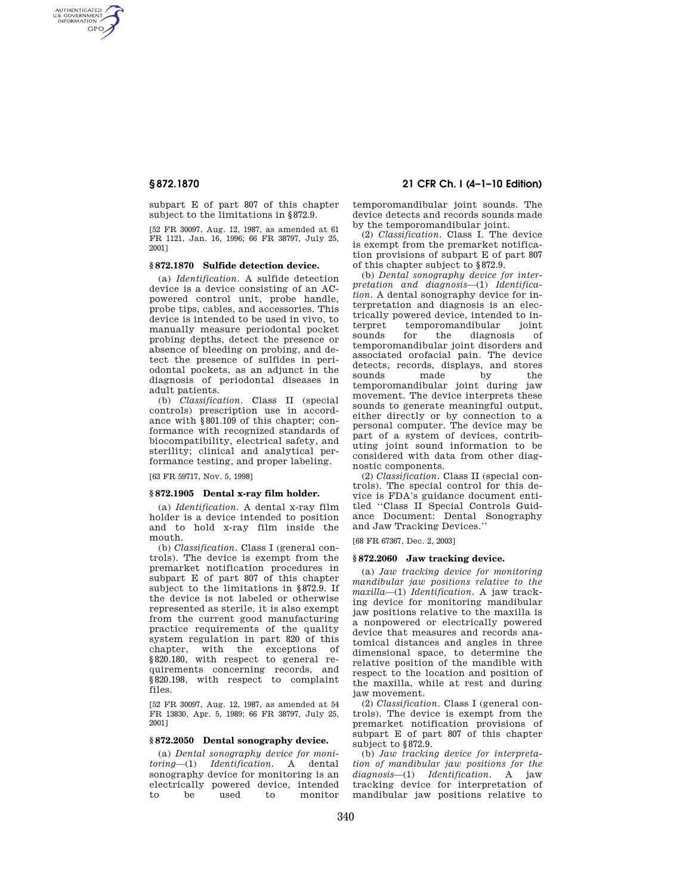AUTHENTICATED<br>U.S. GOVERNMENT<br>INFORMATION **GPO** 

> subpart E of part 807 of this chapter subject to the limitations in §872.9.

> [52 FR 30097, Aug. 12, 1987, as amended at 61 FR 1121, Jan. 16, 1996; 66 FR 38797, July 25, 2001]

## **§ 872.1870 Sulfide detection device.**

(a) *Identification.* A sulfide detection device is a device consisting of an ACpowered control unit, probe handle, probe tips, cables, and accessories. This device is intended to be used in vivo, to manually measure periodontal pocket probing depths, detect the presence or absence of bleeding on probing, and detect the presence of sulfides in periodontal pockets, as an adjunct in the diagnosis of periodontal diseases in adult patients.

(b) *Classification.* Class II (special controls) prescription use in accordance with §801.109 of this chapter; conformance with recognized standards of biocompatibility, electrical safety, and sterility; clinical and analytical performance testing, and proper labeling.

[63 FR 59717, Nov. 5, 1998]

### **§ 872.1905 Dental x-ray film holder.**

(a) *Identification.* A dental x-ray film holder is a device intended to position and to hold x-ray film inside the mouth.

(b) *Classification.* Class I (general controls). The device is exempt from the premarket notification procedures in subpart E of part 807 of this chapter subject to the limitations in §872.9. If the device is not labeled or otherwise represented as sterile, it is also exempt from the current good manufacturing practice requirements of the quality system regulation in part 820 of this chapter, with the exceptions of §820.180, with respect to general requirements concerning records, and §820.198, with respect to complaint files.

[52 FR 30097, Aug. 12, 1987, as amended at 54 FR 13830, Apr. 5, 1989; 66 FR 38797, July 25, 2001]

# **§ 872.2050 Dental sonography device.**

(a) *Dental sonography device for monitoring*—(1) *Identification.* A dental sonography device for monitoring is an electrically powered device, intended to monitor

# **§ 872.1870 21 CFR Ch. I (4–1–10 Edition)**

temporomandibular joint sounds. The device detects and records sounds made by the temporomandibular joint.

(2) *Classification.* Class I. The device is exempt from the premarket notification provisions of subpart E of part 807 of this chapter subject to §872.9.

(b) *Dental sonography device for interpretation and diagnosis*—(1) *Identification.* A dental sonography device for interpretation and diagnosis is an electrically powered device, intended to interpret temporomandibular joint<br>sounds for the diagnosis of diagnosis of temporomandibular joint disorders and associated orofacial pain. The device detects, records, displays, and stores sounds made by the temporomandibular joint during jaw movement. The device interprets these sounds to generate meaningful output, either directly or by connection to a personal computer. The device may be part of a system of devices, contributing joint sound information to be considered with data from other diagnostic components.

(2) *Classification.* Class II (special controls). The special control for this device is FDA's guidance document entitled ''Class II Special Controls Guidance Document: Dental Sonography and Jaw Tracking Devices.''

[68 FR 67367, Dec. 2, 2003]

## **§ 872.2060 Jaw tracking device.**

(a) *Jaw tracking device for monitoring mandibular jaw positions relative to the maxilla*—(1) *Identification.* A jaw tracking device for monitoring mandibular jaw positions relative to the maxilla is a nonpowered or electrically powered device that measures and records anatomical distances and angles in three dimensional space, to determine the relative position of the mandible with respect to the location and position of the maxilla, while at rest and during jaw movement.

(2) *Classification.* Class I (general controls). The device is exempt from the premarket notification provisions of subpart E of part 807 of this chapter subject to §872.9.

(b) *Jaw tracking device for interpretation of mandibular jaw positions for the diagnosis*—(1) *Identification.* A jaw tracking device for interpretation of mandibular jaw positions relative to